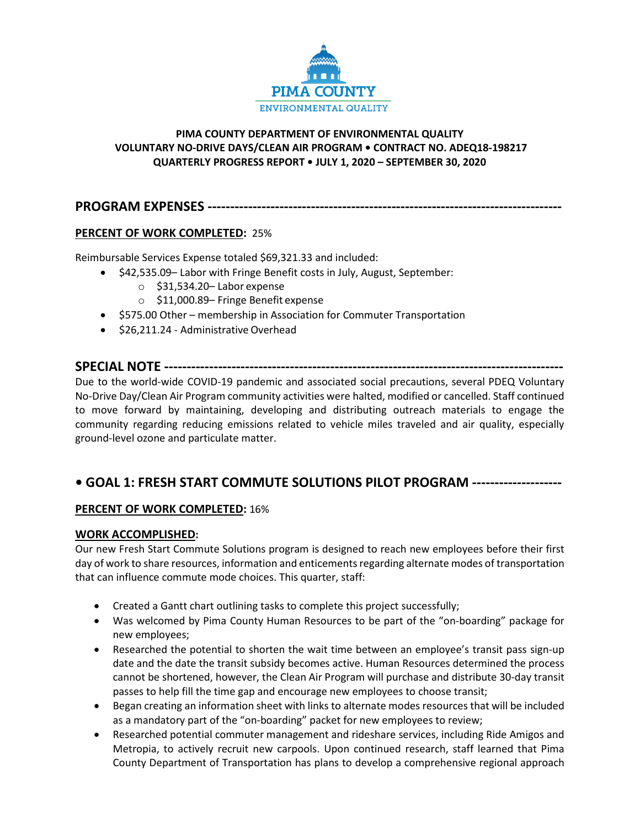

# **PIMA COUNTY DEPARTMENT OF ENVIRONMENTAL QUALITY VOLUNTARY NO-DRIVE DAYS/CLEAN AIR PROGRAM • CONTRACT NO. ADEQ18-198217 QUARTERLY PROGRESS REPORT • JULY 1, 2020 – SEPTEMBER 30, 2020**

# **PROGRAM EXPENSES -------------------------------------------------------------------------------**

# **PERCENT OF WORK COMPLETED:** 25%

Reimbursable Services Expense totaled \$69,321.33 and included:

- \$42,535.09– Labor with Fringe Benefit costs in July, August, September:
	- o \$31,534.20– Labor expense
	- o \$11,000.89– Fringe Benefit expense
- \$575.00 Other membership in Association for Commuter Transportation
- \$26,211.24 Administrative Overhead

# **SPECIAL NOTE -----------------------------------------------------------------------------------------**

Due to the world-wide COVID-19 pandemic and associated social precautions, several PDEQ Voluntary No-Drive Day/Clean Air Program community activities were halted, modified or cancelled. Staff continued to move forward by maintaining, developing and distributing outreach materials to engage the community regarding reducing emissions related to vehicle miles traveled and air quality, especially ground-level ozone and particulate matter.

# **• GOAL 1: FRESH START COMMUTE SOLUTIONS PILOT PROGRAM --------------------**

# **PERCENT OF WORK COMPLETED:** 16%

## **WORK ACCOMPLISHED:**

Our new Fresh Start Commute Solutions program is designed to reach new employees before their first day of work to share resources, information and enticements regarding alternate modes of transportation that can influence commute mode choices. This quarter, staff:

- Created a Gantt chart outlining tasks to complete this project successfully;
- Was welcomed by Pima County Human Resources to be part of the "on-boarding" package for new employees;
- Researched the potential to shorten the wait time between an employee's transit pass sign-up date and the date the transit subsidy becomes active. Human Resources determined the process cannot be shortened, however, the Clean Air Program will purchase and distribute 30-day transit passes to help fill the time gap and encourage new employees to choose transit;
- Began creating an information sheet with links to alternate modes resources that will be included as a mandatory part of the "on-boarding" packet for new employees to review;
- Researched potential commuter management and rideshare services, including Ride Amigos and Metropia, to actively recruit new carpools. Upon continued research, staff learned that Pima County Department of Transportation has plans to develop a comprehensive regional approach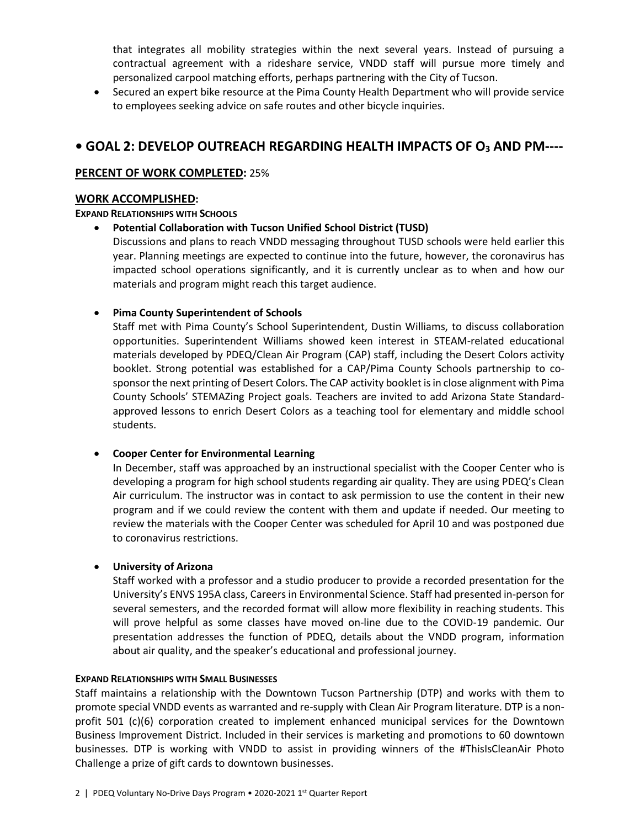that integrates all mobility strategies within the next several years. Instead of pursuing a contractual agreement with a rideshare service, VNDD staff will pursue more timely and personalized carpool matching efforts, perhaps partnering with the City of Tucson.

• Secured an expert bike resource at the Pima County Health Department who will provide service to employees seeking advice on safe routes and other bicycle inquiries.

# **• GOAL 2: DEVELOP OUTREACH REGARDING HEALTH IMPACTS OF O3 AND PM----**

## **PERCENT OF WORK COMPLETED:** 25%

#### **WORK ACCOMPLISHED:**

#### **EXPAND RELATIONSHIPS WITH SCHOOLS**

• **Potential Collaboration with Tucson Unified School District (TUSD)**

Discussions and plans to reach VNDD messaging throughout TUSD schools were held earlier this year. Planning meetings are expected to continue into the future, however, the coronavirus has impacted school operations significantly, and it is currently unclear as to when and how our materials and program might reach this target audience.

# • **Pima County Superintendent of Schools**

Staff met with Pima County's School Superintendent, Dustin Williams, to discuss collaboration opportunities. Superintendent Williams showed keen interest in STEAM-related educational materials developed by PDEQ/Clean Air Program (CAP) staff, including the Desert Colors activity booklet. Strong potential was established for a CAP/Pima County Schools partnership to cosponsor the next printing of Desert Colors. The CAP activity booklet is in close alignment with Pima County Schools' STEMAZing Project goals. Teachers are invited to add Arizona State Standardapproved lessons to enrich Desert Colors as a teaching tool for elementary and middle school students.

## • **Cooper Center for Environmental Learning**

In December, staff was approached by an instructional specialist with the Cooper Center who is developing a program for high school students regarding air quality. They are using PDEQ's Clean Air curriculum. The instructor was in contact to ask permission to use the content in their new program and if we could review the content with them and update if needed. Our meeting to review the materials with the Cooper Center was scheduled for April 10 and was postponed due to coronavirus restrictions.

## • **University of Arizona**

Staff worked with a professor and a studio producer to provide a recorded presentation for the University's ENVS 195A class, Careers in Environmental Science. Staff had presented in-person for several semesters, and the recorded format will allow more flexibility in reaching students. This will prove helpful as some classes have moved on-line due to the COVID-19 pandemic. Our presentation addresses the function of PDEQ, details about the VNDD program, information about air quality, and the speaker's educational and professional journey.

## **EXPAND RELATIONSHIPS WITH SMALL BUSINESSES**

Staff maintains a relationship with the Downtown Tucson Partnership (DTP) and works with them to promote special VNDD events as warranted and re-supply with Clean Air Program literature. DTP is a nonprofit 501 (c)(6) corporation created to implement enhanced municipal services for the Downtown Business Improvement District. Included in their services is marketing and promotions to 60 downtown businesses. DTP is working with VNDD to assist in providing winners of the #ThisIsCleanAir Photo Challenge a prize of gift cards to downtown businesses.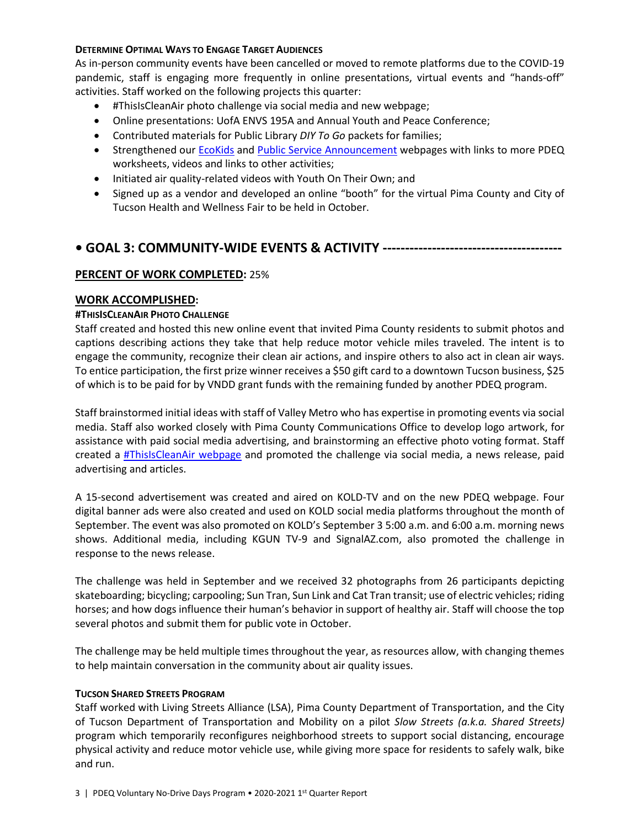#### **DETERMINE OPTIMAL WAYS TO ENGAGE TARGET AUDIENCES**

As in-person community events have been cancelled or moved to remote platforms due to the COVID-19 pandemic, staff is engaging more frequently in online presentations, virtual events and "hands-off" activities. Staff worked on the following projects this quarter:

- #ThisIsCleanAir photo challenge via social media and new webpage;
- Online presentations: UofA ENVS 195A and Annual Youth and Peace Conference;
- Contributed materials for Public Library *DIY To Go* packets for families;
- Strengthened our **EcoKids and [Public Service Announcement](https://webcms.pima.gov/cms/one.aspx?portalId=169&pageId=68311)** webpages with links to more PDEQ worksheets, videos and links to other activities;
- Initiated air quality-related videos with Youth On Their Own; and
- Signed up as a vendor and developed an online "booth" for the virtual Pima County and City of Tucson Health and Wellness Fair to be held in October.

# **• GOAL 3: COMMUNITY-WIDE EVENTS & ACTIVITY ----------------------------------------**

# **PERCENT OF WORK COMPLETED:** 25%

## **WORK ACCOMPLISHED:**

#### **#THISISCLEANAIR PHOTO CHALLENGE**

Staff created and hosted this new online event that invited Pima County residents to submit photos and captions describing actions they take that help reduce motor vehicle miles traveled. The intent is to engage the community, recognize their clean air actions, and inspire others to also act in clean air ways. To entice participation, the first prize winner receives a \$50 gift card to a downtown Tucson business, \$25 of which is to be paid for by VNDD grant funds with the remaining funded by another PDEQ program.

Staff brainstormed initial ideas with staff of Valley Metro who has expertise in promoting events via social media. Staff also worked closely with Pima County Communications Office to develop logo artwork, for assistance with paid social media advertising, and brainstorming an effective photo voting format. Staff created a [#ThisIsCleanAir webpage](https://webcms.pima.gov/cms/One.aspx?portalId=169&pageId=581570) and promoted the challenge via social media, a news release, paid advertising and articles.

A 15-second advertisement was created and aired on KOLD-TV and on the new PDEQ webpage. Four digital banner ads were also created and used on KOLD social media platforms throughout the month of September. The event was also promoted on KOLD's September 3 5:00 a.m. and 6:00 a.m. morning news shows. Additional media, including KGUN TV-9 and SignalAZ.com, also promoted the challenge in response to the news release.

The challenge was held in September and we received 32 photographs from 26 participants depicting skateboarding; bicycling; carpooling; Sun Tran, Sun Link and Cat Tran transit; use of electric vehicles; riding horses; and how dogs influence their human's behavior in support of healthy air. Staff will choose the top several photos and submit them for public vote in October.

The challenge may be held multiple times throughout the year, as resources allow, with changing themes to help maintain conversation in the community about air quality issues.

#### **TUCSON SHARED STREETS PROGRAM**

Staff worked with Living Streets Alliance (LSA), Pima County Department of Transportation, and the City of Tucson Department of Transportation and Mobility on a pilot *Slow Streets (a.k.a. Shared Streets)* program which temporarily reconfigures neighborhood streets to support social distancing, encourage physical activity and reduce motor vehicle use, while giving more space for residents to safely walk, bike and run.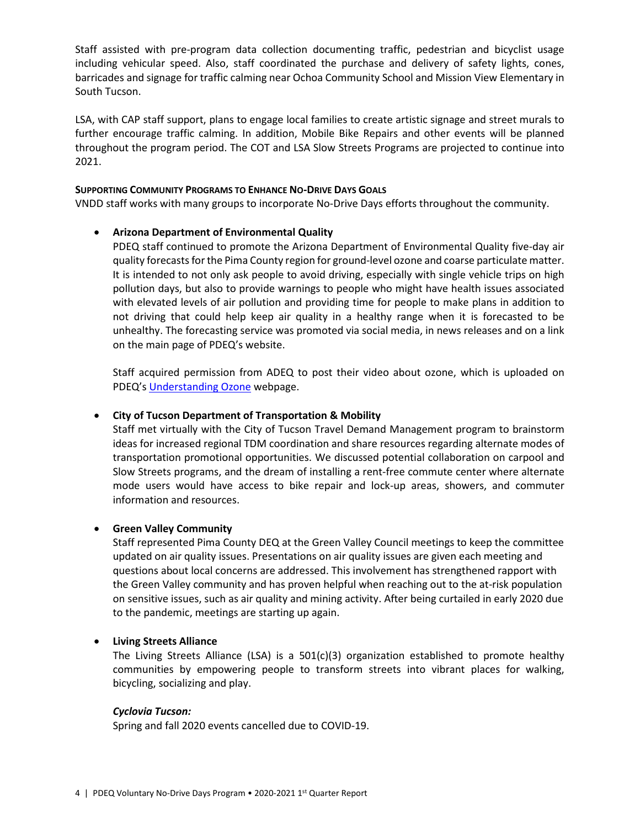Staff assisted with pre-program data collection documenting traffic, pedestrian and bicyclist usage including vehicular speed. Also, staff coordinated the purchase and delivery of safety lights, cones, barricades and signage for traffic calming near Ochoa Community School and Mission View Elementary in South Tucson.

LSA, with CAP staff support, plans to engage local families to create artistic signage and street murals to further encourage traffic calming. In addition, Mobile Bike Repairs and other events will be planned throughout the program period. The COT and LSA Slow Streets Programs are projected to continue into 2021.

#### **SUPPORTING COMMUNITY PROGRAMS TO ENHANCE NO-DRIVE DAYS GOALS**

VNDD staff works with many groups to incorporate No-Drive Days efforts throughout the community.

## • **Arizona Department of Environmental Quality**

PDEQ staff continued to promote the Arizona Department of Environmental Quality five-day air quality forecastsfor the Pima County region for ground-level ozone and coarse particulate matter. It is intended to not only ask people to avoid driving, especially with single vehicle trips on high pollution days, but also to provide warnings to people who might have health issues associated with elevated levels of air pollution and providing time for people to make plans in addition to not driving that could help keep air quality in a healthy range when it is forecasted to be unhealthy. The forecasting service was promoted via social media, in news releases and on a link on the main page of PDEQ's website.

Staff acquired permission from ADEQ to post their video about ozone, which is uploaded on PDEQ's [Understanding Ozone](https://webcms.pima.gov/cms/One.aspx?portalId=169&pageId=490324) webpage.

#### • **City of Tucson Department of Transportation & Mobility**

Staff met virtually with the City of Tucson Travel Demand Management program to brainstorm ideas for increased regional TDM coordination and share resources regarding alternate modes of transportation promotional opportunities. We discussed potential collaboration on carpool and Slow Streets programs, and the dream of installing a rent-free commute center where alternate mode users would have access to bike repair and lock-up areas, showers, and commuter information and resources.

#### • **Green Valley Community**

Staff represented Pima County DEQ at the Green Valley Council meetings to keep the committee updated on air quality issues. Presentations on air quality issues are given each meeting and questions about local concerns are addressed. This involvement has strengthened rapport with the Green Valley community and has proven helpful when reaching out to the at-risk population on sensitive issues, such as air quality and mining activity. After being curtailed in early 2020 due to the pandemic, meetings are starting up again.

#### • **Living Streets Alliance**

The Living Streets Alliance (LSA) is a  $501(c)(3)$  organization established to promote healthy communities by empowering people to transform streets into vibrant places for walking, bicycling, socializing and play.

#### *Cyclovia Tucson:*

Spring and fall 2020 events cancelled due to COVID-19.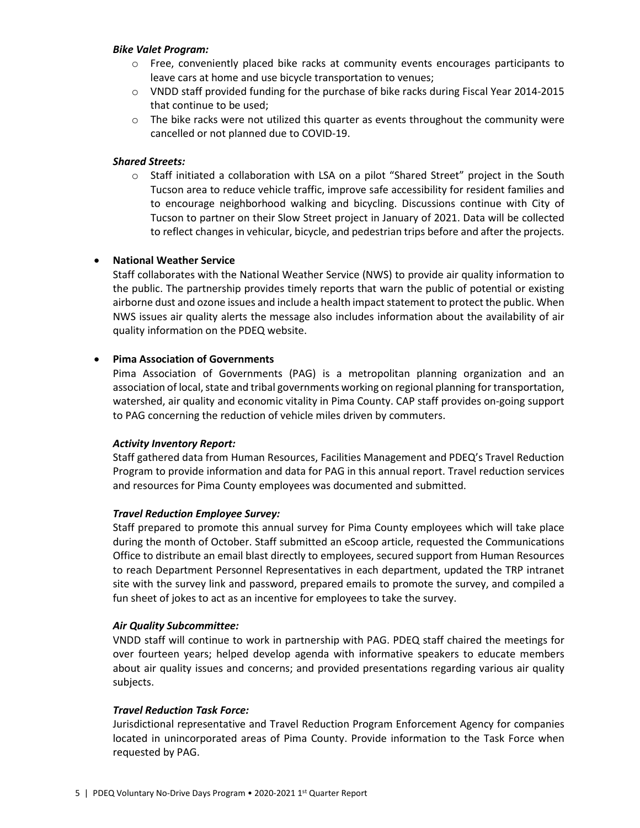#### *Bike Valet Program:*

- $\circ$  Free, conveniently placed bike racks at community events encourages participants to leave cars at home and use bicycle transportation to venues;
- o VNDD staff provided funding for the purchase of bike racks during Fiscal Year 2014-2015 that continue to be used;
- $\circ$  The bike racks were not utilized this quarter as events throughout the community were cancelled or not planned due to COVID-19.

## *Shared Streets:*

 $\circ$  Staff initiated a collaboration with LSA on a pilot "Shared Street" project in the South Tucson area to reduce vehicle traffic, improve safe accessibility for resident families and to encourage neighborhood walking and bicycling. Discussions continue with City of Tucson to partner on their Slow Street project in January of 2021. Data will be collected to reflect changes in vehicular, bicycle, and pedestrian trips before and after the projects.

# • **National Weather Service**

Staff collaborates with the National Weather Service (NWS) to provide air quality information to the public. The partnership provides timely reports that warn the public of potential or existing airborne dust and ozone issues and include a health impact statement to protect the public. When NWS issues air quality alerts the message also includes information about the availability of air quality information on the PDEQ website.

# • **Pima Association of Governments**

Pima Association of Governments (PAG) is a metropolitan planning organization and an association of local, state and tribal governments working on regional planning for transportation, watershed, air quality and economic vitality in Pima County. CAP staff provides on-going support to PAG concerning the reduction of vehicle miles driven by commuters.

## *Activity Inventory Report:*

Staff gathered data from Human Resources, Facilities Management and PDEQ's Travel Reduction Program to provide information and data for PAG in this annual report. Travel reduction services and resources for Pima County employees was documented and submitted.

## *Travel Reduction Employee Survey:*

Staff prepared to promote this annual survey for Pima County employees which will take place during the month of October. Staff submitted an eScoop article, requested the Communications Office to distribute an email blast directly to employees, secured support from Human Resources to reach Department Personnel Representatives in each department, updated the TRP intranet site with the survey link and password, prepared emails to promote the survey, and compiled a fun sheet of jokes to act as an incentive for employees to take the survey.

## *Air Quality Subcommittee:*

VNDD staff will continue to work in partnership with PAG. PDEQ staff chaired the meetings for over fourteen years; helped develop agenda with informative speakers to educate members about air quality issues and concerns; and provided presentations regarding various air quality subjects.

## *Travel Reduction Task Force:*

Jurisdictional representative and Travel Reduction Program Enforcement Agency for companies located in unincorporated areas of Pima County. Provide information to the Task Force when requested by PAG.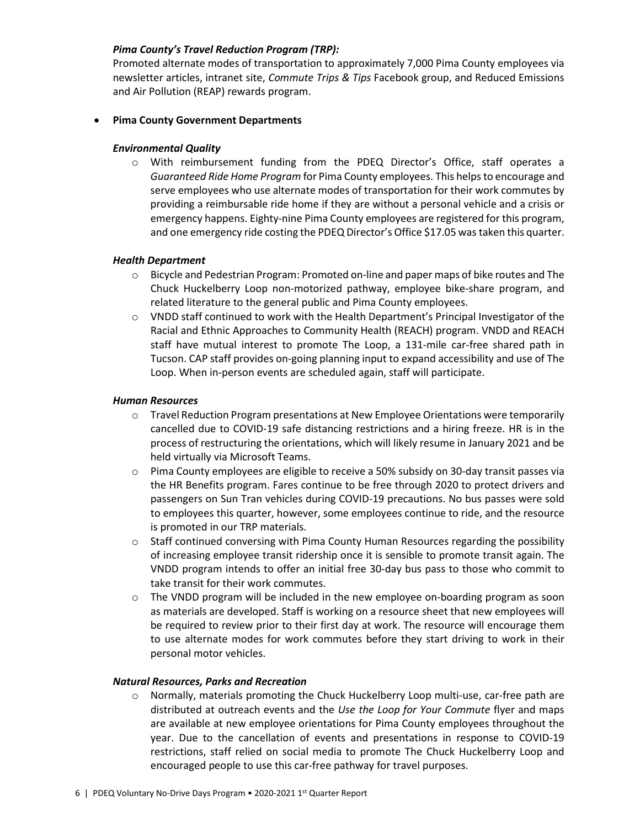## *Pima County's Travel Reduction Program (TRP):*

Promoted alternate modes of transportation to approximately 7,000 Pima County employees via newsletter articles, intranet site, *Commute Trips & Tips* Facebook group, and Reduced Emissions and Air Pollution (REAP) rewards program.

## • **Pima County Government Departments**

#### *Environmental Quality*

o With reimbursement funding from the PDEQ Director's Office, staff operates a *Guaranteed Ride Home Program* for Pima County employees. This helps to encourage and serve employees who use alternate modes of transportation for their work commutes by providing a reimbursable ride home if they are without a personal vehicle and a crisis or emergency happens. Eighty-nine Pima County employees are registered for this program, and one emergency ride costing the PDEQ Director's Office \$17.05 was taken this quarter.

#### *Health Department*

- o Bicycle and Pedestrian Program: Promoted on-line and paper maps of bike routes and The Chuck Huckelberry Loop non-motorized pathway, employee bike-share program, and related literature to the general public and Pima County employees.
- $\circ$  VNDD staff continued to work with the Health Department's Principal Investigator of the Racial and Ethnic Approaches to Community Health (REACH) program. VNDD and REACH staff have mutual interest to promote The Loop, a 131-mile car-free shared path in Tucson. CAP staff provides on-going planning input to expand accessibility and use of The Loop. When in-person events are scheduled again, staff will participate.

#### *Human Resources*

- $\circ$  Travel Reduction Program presentations at New Employee Orientations were temporarily cancelled due to COVID-19 safe distancing restrictions and a hiring freeze. HR is in the process of restructuring the orientations, which will likely resume in January 2021 and be held virtually via Microsoft Teams.
- $\circ$  Pima County employees are eligible to receive a 50% subsidy on 30-day transit passes via the HR Benefits program. Fares continue to be free through 2020 to protect drivers and passengers on Sun Tran vehicles during COVID-19 precautions. No bus passes were sold to employees this quarter, however, some employees continue to ride, and the resource is promoted in our TRP materials.
- o Staff continued conversing with Pima County Human Resources regarding the possibility of increasing employee transit ridership once it is sensible to promote transit again. The VNDD program intends to offer an initial free 30-day bus pass to those who commit to take transit for their work commutes.
- o The VNDD program will be included in the new employee on-boarding program as soon as materials are developed. Staff is working on a resource sheet that new employees will be required to review prior to their first day at work. The resource will encourage them to use alternate modes for work commutes before they start driving to work in their personal motor vehicles.

## *Natural Resources, Parks and Recreation*

o Normally, materials promoting the Chuck Huckelberry Loop multi-use, car-free path are distributed at outreach events and the *Use the Loop for Your Commute* flyer and maps are available at new employee orientations for Pima County employees throughout the year. Due to the cancellation of events and presentations in response to COVID-19 restrictions, staff relied on social media to promote The Chuck Huckelberry Loop and encouraged people to use this car-free pathway for travel purposes.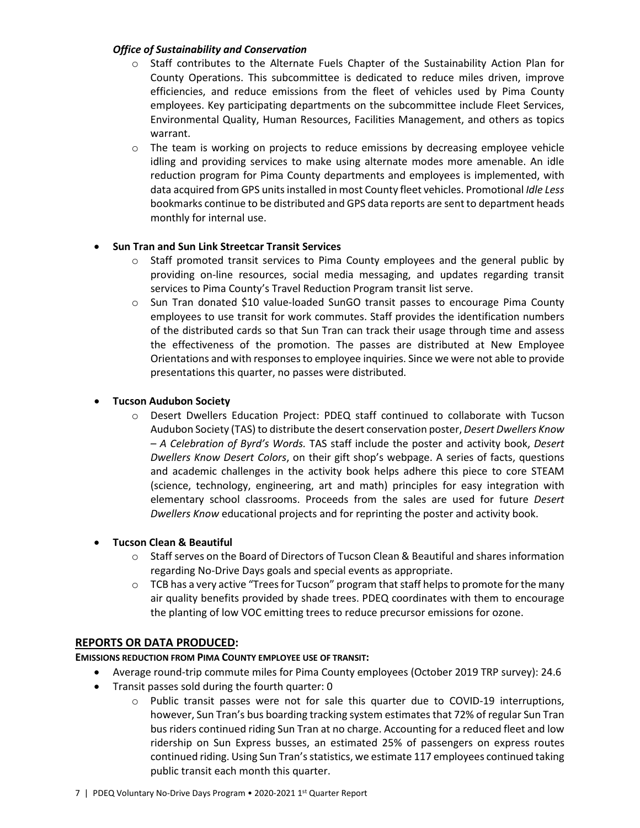## *Office of Sustainability and Conservation*

- o Staff contributes to the Alternate Fuels Chapter of the Sustainability Action Plan for County Operations. This subcommittee is dedicated to reduce miles driven, improve efficiencies, and reduce emissions from the fleet of vehicles used by Pima County employees. Key participating departments on the subcommittee include Fleet Services, Environmental Quality, Human Resources, Facilities Management, and others as topics warrant.
- $\circ$  The team is working on projects to reduce emissions by decreasing employee vehicle idling and providing services to make using alternate modes more amenable. An idle reduction program for Pima County departments and employees is implemented, with data acquired from GPS units installed in most County fleet vehicles. Promotional *Idle Less*  bookmarks continue to be distributed and GPS data reports are sent to department heads monthly for internal use.

# • **Sun Tran and Sun Link Streetcar Transit Services**

- $\circ$  Staff promoted transit services to Pima County employees and the general public by providing on-line resources, social media messaging, and updates regarding transit services to Pima County's Travel Reduction Program transit list serve.
- o Sun Tran donated \$10 value-loaded SunGO transit passes to encourage Pima County employees to use transit for work commutes. Staff provides the identification numbers of the distributed cards so that Sun Tran can track their usage through time and assess the effectiveness of the promotion. The passes are distributed at New Employee Orientations and with responses to employee inquiries. Since we were not able to provide presentations this quarter, no passes were distributed.

# • **Tucson Audubon Society**

o Desert Dwellers Education Project: PDEQ staff continued to collaborate with Tucson Audubon Society (TAS) to distribute the desert conservation poster, *Desert Dwellers Know – A Celebration of Byrd's Words.* TAS staff include the poster and activity book, *Desert Dwellers Know Desert Colors*, on their gift shop's webpage. A series of facts, questions and academic challenges in the activity book helps adhere this piece to core STEAM (science, technology, engineering, art and math) principles for easy integration with elementary school classrooms. Proceeds from the sales are used for future *Desert Dwellers Know* educational projects and for reprinting the poster and activity book.

## • **Tucson Clean & Beautiful**

- $\circ$  Staff serves on the Board of Directors of Tucson Clean & Beautiful and shares information regarding No-Drive Days goals and special events as appropriate.
- $\circ$  TCB has a very active "Trees for Tucson" program that staff helps to promote for the many air quality benefits provided by shade trees. PDEQ coordinates with them to encourage the planting of low VOC emitting trees to reduce precursor emissions for ozone.

# **REPORTS OR DATA PRODUCED:**

## **EMISSIONS REDUCTION FROM PIMA COUNTY EMPLOYEE USE OF TRANSIT:**

- Average round-trip commute miles for Pima County employees (October 2019 TRP survey): 24.6
- Transit passes sold during the fourth quarter: 0
	- $\circ$  Public transit passes were not for sale this quarter due to COVID-19 interruptions, however, Sun Tran's bus boarding tracking system estimates that 72% of regular Sun Tran bus riders continued riding Sun Tran at no charge. Accounting for a reduced fleet and low ridership on Sun Express busses, an estimated 25% of passengers on express routes continued riding. Using Sun Tran's statistics, we estimate 117 employees continued taking public transit each month this quarter.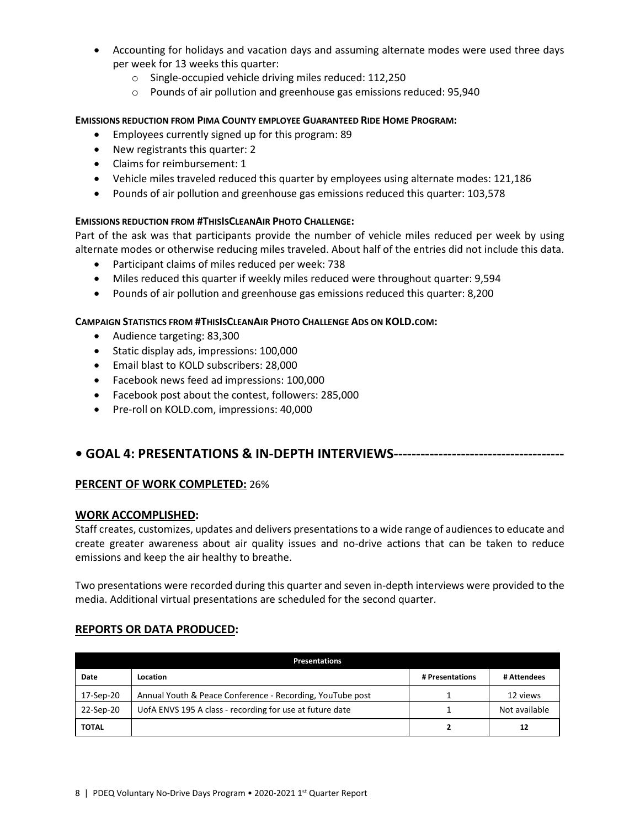- Accounting for holidays and vacation days and assuming alternate modes were used three days per week for 13 weeks this quarter:
	- o Single-occupied vehicle driving miles reduced: 112,250
	- o Pounds of air pollution and greenhouse gas emissions reduced: 95,940

#### **EMISSIONS REDUCTION FROM PIMA COUNTY EMPLOYEE GUARANTEED RIDE HOME PROGRAM:**

- Employees currently signed up for this program: 89
- New registrants this quarter: 2
- Claims for reimbursement: 1
- Vehicle miles traveled reduced this quarter by employees using alternate modes: 121,186
- Pounds of air pollution and greenhouse gas emissions reduced this quarter: 103,578

## **EMISSIONS REDUCTION FROM #THISISCLEANAIR PHOTO CHALLENGE:**

Part of the ask was that participants provide the number of vehicle miles reduced per week by using alternate modes or otherwise reducing miles traveled. About half of the entries did not include this data.

- Participant claims of miles reduced per week: 738
- Miles reduced this quarter if weekly miles reduced were throughout quarter: 9,594
- Pounds of air pollution and greenhouse gas emissions reduced this quarter: 8,200

## **CAMPAIGN STATISTICS FROM #THISISCLEANAIR PHOTO CHALLENGE ADS ON KOLD.COM:**

- Audience targeting: 83,300
- Static display ads, impressions: 100,000
- Email blast to KOLD subscribers: 28,000
- Facebook news feed ad impressions: 100,000
- Facebook post about the contest, followers: 285,000
- Pre-roll on KOLD.com, impressions: 40,000

# **• GOAL 4: PRESENTATIONS & IN-DEPTH INTERVIEWS--------------------------------------**

## **PERCENT OF WORK COMPLETED:** 26%

## **WORK ACCOMPLISHED:**

Staff creates, customizes, updates and delivers presentations to a wide range of audiences to educate and create greater awareness about air quality issues and no-drive actions that can be taken to reduce emissions and keep the air healthy to breathe.

Two presentations were recorded during this quarter and seven in-depth interviews were provided to the media. Additional virtual presentations are scheduled for the second quarter.

## **REPORTS OR DATA PRODUCED:**

| <b>Presentations</b>                                                  |                                                           |                 |               |  |
|-----------------------------------------------------------------------|-----------------------------------------------------------|-----------------|---------------|--|
| Date                                                                  | Location                                                  | # Presentations | # Attendees   |  |
| 17-Sep-20                                                             | Annual Youth & Peace Conference - Recording, YouTube post |                 | 12 views      |  |
| UofA ENVS 195 A class - recording for use at future date<br>22-Sep-20 |                                                           |                 | Not available |  |
| <b>TOTAL</b>                                                          |                                                           | 2               | 12            |  |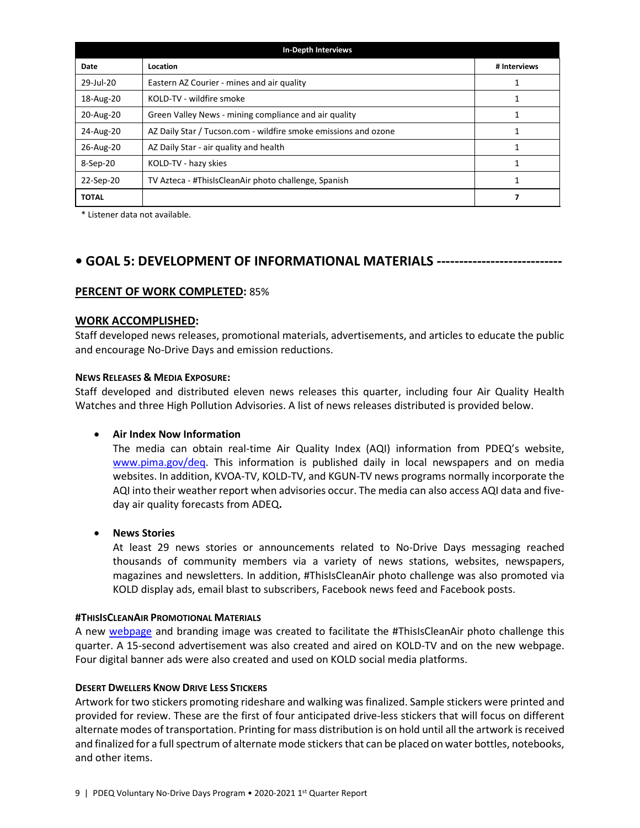| <b>In-Depth Interviews</b> |                                                                 |              |  |  |
|----------------------------|-----------------------------------------------------------------|--------------|--|--|
| Date                       | Location                                                        | # Interviews |  |  |
| 29-Jul-20                  | Eastern AZ Courier - mines and air quality                      |              |  |  |
| 18-Aug-20                  | KOLD-TV - wildfire smoke                                        |              |  |  |
| 20-Aug-20                  | Green Valley News - mining compliance and air quality           |              |  |  |
| 24-Aug-20                  | AZ Daily Star / Tucson.com - wildfire smoke emissions and ozone |              |  |  |
| 26-Aug-20                  | AZ Daily Star - air quality and health                          |              |  |  |
| 8-Sep-20                   | KOLD-TV - hazy skies                                            |              |  |  |
| 22-Sep-20                  | TV Azteca - #ThisIsCleanAir photo challenge, Spanish            |              |  |  |
| <b>TOTAL</b>               |                                                                 |              |  |  |

\* Listener data not available.

# **• GOAL 5: DEVELOPMENT OF INFORMATIONAL MATERIALS ----------------------------**

#### **PERCENT OF WORK COMPLETED:** 85%

#### **WORK ACCOMPLISHED:**

Staff developed news releases, promotional materials, advertisements, and articles to educate the public and encourage No-Drive Days and emission reductions.

#### **NEWS RELEASES & MEDIA EXPOSURE:**

Staff developed and distributed eleven news releases this quarter, including four Air Quality Health Watches and three High Pollution Advisories. A list of news releases distributed is provided below.

## • **Air Index Now Information**

The media can obtain real-time Air Quality Index (AQI) information from PDEQ's website, [www.pima.gov/deq.](http://www.pima.gov/deq) This information is published daily in local newspapers and on media websites. In addition, KVOA-TV, KOLD-TV, and KGUN-TV news programs normally incorporate the AQI into their weather report when advisories occur. The media can also access AQI data and fiveday air quality forecasts from ADEQ**.**

## • **News Stories**

At least 29 news stories or announcements related to No-Drive Days messaging reached thousands of community members via a variety of news stations, websites, newspapers, magazines and newsletters. In addition, #ThisIsCleanAir photo challenge was also promoted via KOLD display ads, email blast to subscribers, Facebook news feed and Facebook posts.

#### **#THISISCLEANAIR PROMOTIONAL MATERIALS**

A new [webpage](https://webcms.pima.gov/cms/One.aspx?portalId=169&pageId=581570) and branding image was created to facilitate the #ThisIsCleanAir photo challenge this quarter. A 15-second advertisement was also created and aired on KOLD-TV and on the new webpage. Four digital banner ads were also created and used on KOLD social media platforms.

#### **DESERT DWELLERS KNOW DRIVE LESS STICKERS**

Artwork for two stickers promoting rideshare and walking was finalized. Sample stickers were printed and provided for review. These are the first of four anticipated drive-less stickers that will focus on different alternate modes of transportation. Printing for mass distribution is on hold until all the artwork is received and finalized for a full spectrum of alternate mode stickers that can be placed on water bottles, notebooks, and other items.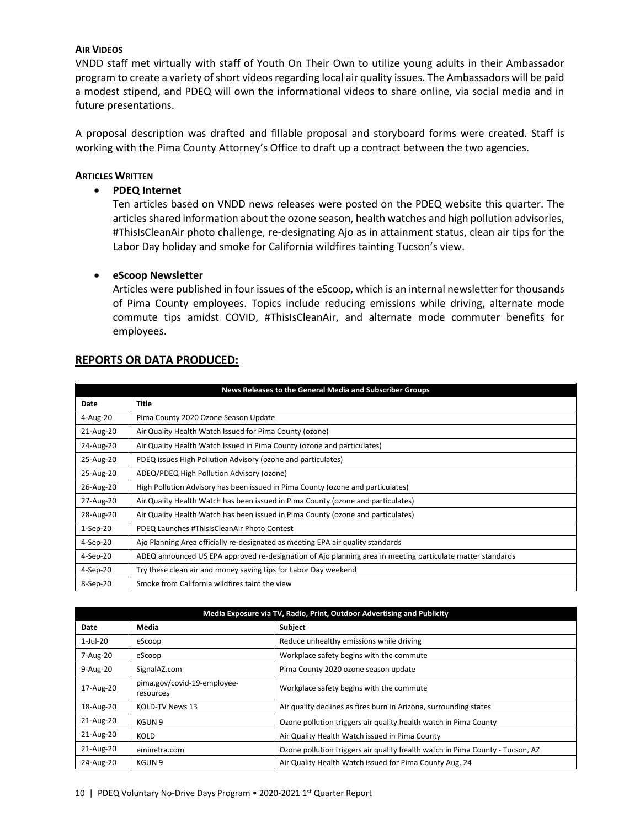#### **AIR VIDEOS**

VNDD staff met virtually with staff of Youth On Their Own to utilize young adults in their Ambassador program to create a variety of short videos regarding local air quality issues. The Ambassadors will be paid a modest stipend, and PDEQ will own the informational videos to share online, via social media and in future presentations.

A proposal description was drafted and fillable proposal and storyboard forms were created. Staff is working with the Pima County Attorney's Office to draft up a contract between the two agencies.

#### **ARTICLES WRITTEN**

#### • **PDEQ Internet**

Ten articles based on VNDD news releases were posted on the PDEQ website this quarter. The articles shared information about the ozone season, health watches and high pollution advisories, #ThisIsCleanAir photo challenge, re-designating Ajo as in attainment status, clean air tips for the Labor Day holiday and smoke for California wildfires tainting Tucson's view.

#### • **eScoop Newsletter**

Articles were published in four issues of the eScoop, which is an internal newsletter for thousands of Pima County employees. Topics include reducing emissions while driving, alternate mode commute tips amidst COVID, #ThisIsCleanAir, and alternate mode commuter benefits for employees.

| <b>REPORTS OR DATA PRODUCED:</b> |  |  |
|----------------------------------|--|--|
|                                  |  |  |

| News Releases to the General Media and Subscriber Groups |                                                                                                            |  |  |  |
|----------------------------------------------------------|------------------------------------------------------------------------------------------------------------|--|--|--|
| Date                                                     | Title                                                                                                      |  |  |  |
| 4-Aug-20                                                 | Pima County 2020 Ozone Season Update                                                                       |  |  |  |
| 21-Aug-20                                                | Air Quality Health Watch Issued for Pima County (ozone)                                                    |  |  |  |
| 24-Aug-20                                                | Air Quality Health Watch Issued in Pima County (ozone and particulates)                                    |  |  |  |
| 25-Aug-20                                                | PDEQ issues High Pollution Advisory (ozone and particulates)                                               |  |  |  |
| 25-Aug-20                                                | ADEQ/PDEQ High Pollution Advisory (ozone)                                                                  |  |  |  |
| 26-Aug-20                                                | High Pollution Advisory has been issued in Pima County (ozone and particulates)                            |  |  |  |
| 27-Aug-20                                                | Air Quality Health Watch has been issued in Pima County (ozone and particulates)                           |  |  |  |
| 28-Aug-20                                                | Air Quality Health Watch has been issued in Pima County (ozone and particulates)                           |  |  |  |
| $1-Sep-20$                                               | PDEQ Launches #ThisIsCleanAir Photo Contest                                                                |  |  |  |
| 4-Sep-20                                                 | Ajo Planning Area officially re-designated as meeting EPA air quality standards                            |  |  |  |
| 4-Sep-20                                                 | ADEQ announced US EPA approved re-designation of Ajo planning area in meeting particulate matter standards |  |  |  |
| 4-Sep-20                                                 | Try these clean air and money saving tips for Labor Day weekend                                            |  |  |  |
| 8-Sep-20                                                 | Smoke from California wildfires taint the view                                                             |  |  |  |

| Media Exposure via TV, Radio, Print, Outdoor Advertising and Publicity |                                          |                                                                               |  |
|------------------------------------------------------------------------|------------------------------------------|-------------------------------------------------------------------------------|--|
| Date                                                                   | Media                                    | <b>Subject</b>                                                                |  |
| $1$ -Jul-20                                                            | eScoop                                   | Reduce unhealthy emissions while driving                                      |  |
| 7-Aug-20                                                               | eScoop                                   | Workplace safety begins with the commute                                      |  |
| $9-Aug-20$                                                             | SignalAZ.com                             | Pima County 2020 ozone season update                                          |  |
| 17-Aug-20                                                              | pima.gov/covid-19-employee-<br>resources | Workplace safety begins with the commute                                      |  |
| 18-Aug-20                                                              | KOLD-TV News 13                          | Air quality declines as fires burn in Arizona, surrounding states             |  |
| 21-Aug-20                                                              | KGUN 9                                   | Ozone pollution triggers air quality health watch in Pima County              |  |
| 21-Aug-20                                                              | KOLD                                     | Air Quality Health Watch issued in Pima County                                |  |
| 21-Aug-20                                                              | eminetra.com                             | Ozone pollution triggers air quality health watch in Pima County - Tucson, AZ |  |
| 24-Aug-20                                                              | KGUN 9                                   | Air Quality Health Watch issued for Pima County Aug. 24                       |  |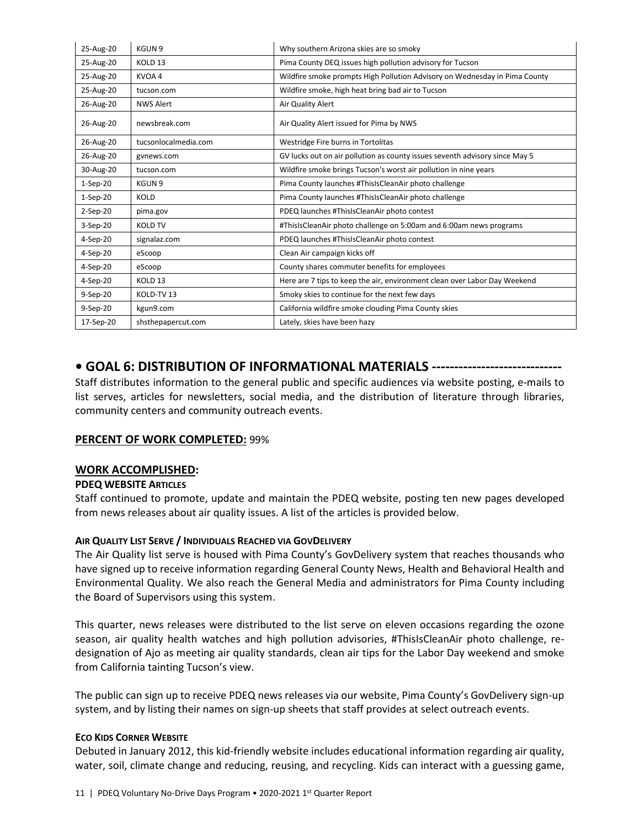| 25-Aug-20      | KGUN 9               | Why southern Arizona skies are so smoky                                     |
|----------------|----------------------|-----------------------------------------------------------------------------|
| 25-Aug-20      | KOLD <sub>13</sub>   | Pima County DEQ issues high pollution advisory for Tucson                   |
| 25-Aug-20      | KVOA 4               | Wildfire smoke prompts High Pollution Advisory on Wednesday in Pima County  |
| 25-Aug-20      | tucson.com           | Wildfire smoke, high heat bring bad air to Tucson                           |
| 26-Aug-20      | <b>NWS Alert</b>     | Air Quality Alert                                                           |
| 26-Aug-20      | newsbreak.com        | Air Quality Alert issued for Pima by NWS                                    |
| 26-Aug-20      | tucsonlocalmedia.com | Westridge Fire burns in Tortolitas                                          |
| 26-Aug-20      | gynews.com           | GV lucks out on air pollution as county issues seventh advisory since May 5 |
| 30-Aug-20      | tucson.com           | Wildfire smoke brings Tucson's worst air pollution in nine years            |
| $1-Sep-20$     | KGUN 9               | Pima County launches #ThisIsCleanAir photo challenge                        |
| $1-Sep-20$     | <b>KOLD</b>          | Pima County launches #ThisIsCleanAir photo challenge                        |
| $2-Sep-20$     | pima.gov             | PDEQ launches #ThisIsCleanAir photo contest                                 |
| 3-Sep-20       | <b>KOLD TV</b>       | #ThisIsCleanAir photo challenge on 5:00am and 6:00am news programs          |
| 4-Sep-20       | signalaz.com         | PDEQ launches #ThisIsCleanAir photo contest                                 |
| 4-Sep-20       | eScoop               | Clean Air campaign kicks off                                                |
| 4-Sep-20       | eScoop               | County shares commuter benefits for employees                               |
| $4-Sep-20$     | KOLD <sub>13</sub>   | Here are 7 tips to keep the air, environment clean over Labor Day Weekend   |
| 9-Sep-20       | KOLD-TV 13           | Smoky skies to continue for the next few days                               |
| $9-$ Sep $-20$ | kgun9.com            | California wildfire smoke clouding Pima County skies                        |
| 17-Sep-20      | shsthepapercut.com   | Lately, skies have been hazy                                                |

# **• GOAL 6: DISTRIBUTION OF INFORMATIONAL MATERIALS -----------------------------**

Staff distributes information to the general public and specific audiences via website posting, e-mails to list serves, articles for newsletters, social media, and the distribution of literature through libraries, community centers and community outreach events.

## **PERCENT OF WORK COMPLETED:** 99%

## **WORK ACCOMPLISHED:**

## **PDEQ WEBSITE ARTICLES**

Staff continued to promote, update and maintain the PDEQ website, posting ten new pages developed from news releases about air quality issues. A list of the articles is provided below.

## **AIR QUALITY LIST SERVE / INDIVIDUALS REACHED VIA GOVDELIVERY**

The Air Quality list serve is housed with Pima County's GovDelivery system that reaches thousands who have signed up to receive information regarding General County News, Health and Behavioral Health and Environmental Quality. We also reach the General Media and administrators for Pima County including the Board of Supervisors using this system.

This quarter, news releases were distributed to the list serve on eleven occasions regarding the ozone season, air quality health watches and high pollution advisories, #ThisIsCleanAir photo challenge, redesignation of Ajo as meeting air quality standards, clean air tips for the Labor Day weekend and smoke from California tainting Tucson's view.

The public can sign up to receive PDEQ news releases via our website, Pima County's GovDelivery sign-up system, and by listing their names on sign-up sheets that staff provides at select outreach events.

#### **ECO KIDS CORNER WEBSITE**

Debuted in January 2012, this kid-friendly website includes educational information regarding air quality, water, soil, climate change and reducing, reusing, and recycling. Kids can interact with a guessing game,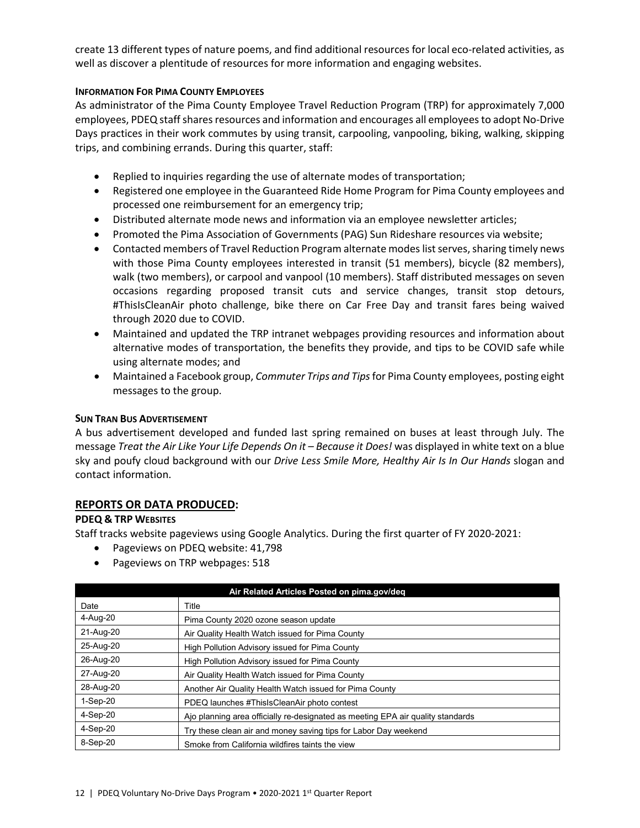create 13 different types of nature poems, and find additional resources for local eco-related activities, as well as discover a plentitude of resources for more information and engaging websites.

#### **INFORMATION FOR PIMA COUNTY EMPLOYEES**

As administrator of the Pima County Employee Travel Reduction Program (TRP) for approximately 7,000 employees, PDEQ staffshares resources and information and encourages all employees to adopt No-Drive Days practices in their work commutes by using transit, carpooling, vanpooling, biking, walking, skipping trips, and combining errands. During this quarter, staff:

- Replied to inquiries regarding the use of alternate modes of transportation;
- Registered one employee in the Guaranteed Ride Home Program for Pima County employees and processed one reimbursement for an emergency trip;
- Distributed alternate mode news and information via an employee newsletter articles;
- Promoted the Pima Association of Governments (PAG) Sun Rideshare resources via website;
- Contacted members of Travel Reduction Program alternate modes list serves, sharing timely news with those Pima County employees interested in transit (51 members), bicycle (82 members), walk (two members), or carpool and vanpool (10 members). Staff distributed messages on seven occasions regarding proposed transit cuts and service changes, transit stop detours, #ThisIsCleanAir photo challenge, bike there on Car Free Day and transit fares being waived through 2020 due to COVID.
- Maintained and updated the TRP intranet webpages providing resources and information about alternative modes of transportation, the benefits they provide, and tips to be COVID safe while using alternate modes; and
- Maintained a Facebook group, *Commuter Trips and Tips*for Pima County employees, posting eight messages to the group.

#### **SUN TRAN BUS ADVERTISEMENT**

A bus advertisement developed and funded last spring remained on buses at least through July. The message *Treat the Air Like Your Life Depends On it – Because it Does!* was displayed in white text on a blue sky and poufy cloud background with our *Drive Less Smile More, Healthy Air Is In Our Hands* slogan and contact information.

## **REPORTS OR DATA PRODUCED:**

## **PDEQ & TRP WEBSITES**

Staff tracks website pageviews using Google Analytics. During the first quarter of FY 2020-2021:

- Pageviews on PDEQ website: 41,798
- Pageviews on TRP webpages: 518

| Air Related Articles Posted on pima.gov/deg |                                                                                 |  |  |
|---------------------------------------------|---------------------------------------------------------------------------------|--|--|
| Date                                        | Title                                                                           |  |  |
| 4-Aug-20                                    | Pima County 2020 ozone season update                                            |  |  |
| 21-Aug-20                                   | Air Quality Health Watch issued for Pima County                                 |  |  |
| 25-Aug-20                                   | High Pollution Advisory issued for Pima County                                  |  |  |
| 26-Aug-20                                   | High Pollution Advisory issued for Pima County                                  |  |  |
| 27-Aug-20                                   | Air Quality Health Watch issued for Pima County                                 |  |  |
| 28-Aug-20                                   | Another Air Quality Health Watch issued for Pima County                         |  |  |
| $1-Sep-20$                                  | PDEQ launches #ThisIsCleanAir photo contest                                     |  |  |
| $4-Sep-20$                                  | Ajo planning area officially re-designated as meeting EPA air quality standards |  |  |
| $4-Sep-20$                                  | Try these clean air and money saving tips for Labor Day weekend                 |  |  |
| 8-Sep-20                                    | Smoke from California wildfires taints the view                                 |  |  |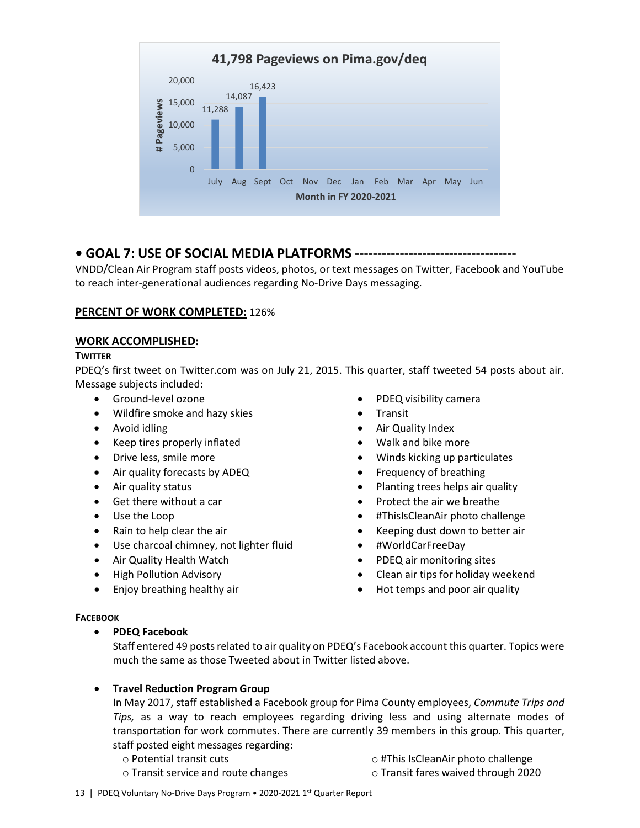

# **• GOAL 7: USE OF SOCIAL MEDIA PLATFORMS ------------------------------------**

VNDD/Clean Air Program staff posts videos, photos, or text messages on Twitter, Facebook and YouTube to reach inter-generational audiences regarding No-Drive Days messaging.

# **PERCENT OF WORK COMPLETED:** 126%

## **WORK ACCOMPLISHED:**

## **TWITTER**

PDEQ's first tweet on Twitter.com was on July 21, 2015. This quarter, staff tweeted 54 posts about air. Message subjects included:

- Ground-level ozone
- Wildfire smoke and hazy skies
- Avoid idling
- Keep tires properly inflated
- Drive less, smile more
- Air quality forecasts by ADEQ
- Air quality status
- Get there without a car
- Use the Loop
- Rain to help clear the air
- Use charcoal chimney, not lighter fluid
- Air Quality Health Watch
- High Pollution Advisory
- Enjoy breathing healthy air
- PDEQ visibility camera
- Transit
- Air Quality Index
- Walk and bike more
- Winds kicking up particulates
- Frequency of breathing
- Planting trees helps air quality
- Protect the air we breathe
- #ThisIsCleanAir photo challenge
- Keeping dust down to better air
- #WorldCarFreeDay
- PDEQ air monitoring sites
- Clean air tips for holiday weekend
- Hot temps and poor air quality

## **FACEBOOK**

# • **PDEQ Facebook**

Staff entered 49 posts related to air quality on PDEQ's Facebook account this quarter. Topics were much the same as those Tweeted about in Twitter listed above.

# • **Travel Reduction Program Group**

In May 2017, staff established a Facebook group for Pima County employees, *Commute Trips and Tips,* as a way to reach employees regarding driving less and using alternate modes of transportation for work commutes. There are currently 39 members in this group. This quarter, staff posted eight messages regarding:

- o Potential transit cuts
- o #This IsCleanAir photo challenge
- o Transit service and route changes
- o Transit fares waived through 2020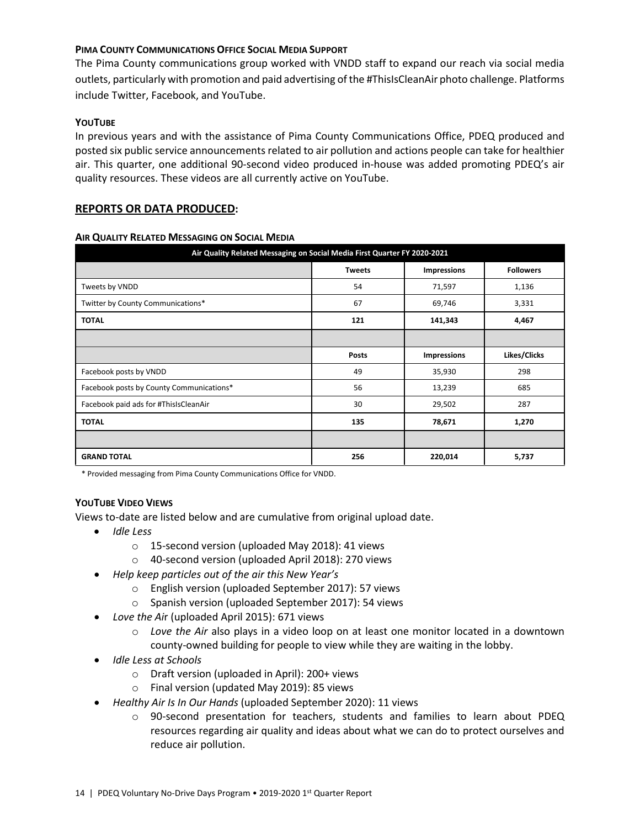## **PIMA COUNTY COMMUNICATIONS OFFICE SOCIAL MEDIA SUPPORT**

The Pima County communications group worked with VNDD staff to expand our reach via social media outlets, particularly with promotion and paid advertising of the #ThisIsCleanAir photo challenge. Platforms include Twitter, Facebook, and YouTube.

#### **YOUTUBE**

In previous years and with the assistance of Pima County Communications Office, PDEQ produced and posted six public service announcements related to air pollution and actions people can take for healthier air. This quarter, one additional 90-second video produced in-house was added promoting PDEQ's air quality resources. These videos are all currently active on YouTube.

## **REPORTS OR DATA PRODUCED:**

## **AIR QUALITY RELATED MESSAGING ON SOCIAL MEDIA**

| Air Quality Related Messaging on Social Media First Quarter FY 2020-2021 |               |                    |                  |  |  |
|--------------------------------------------------------------------------|---------------|--------------------|------------------|--|--|
|                                                                          | <b>Tweets</b> | <b>Impressions</b> | <b>Followers</b> |  |  |
| Tweets by VNDD                                                           | 54            | 71,597             | 1,136            |  |  |
| Twitter by County Communications*                                        | 67            | 69,746             | 3,331            |  |  |
| <b>TOTAL</b>                                                             | 121           | 141,343            | 4,467            |  |  |
|                                                                          |               |                    |                  |  |  |
|                                                                          | <b>Posts</b>  | <b>Impressions</b> | Likes/Clicks     |  |  |
| Facebook posts by VNDD                                                   | 49            | 35,930             | 298              |  |  |
| Facebook posts by County Communications*                                 | 56            | 13,239             | 685              |  |  |
| Facebook paid ads for #ThisIsCleanAir                                    | 30            | 29,502             | 287              |  |  |
| <b>TOTAL</b>                                                             | 135           | 78,671             | 1,270            |  |  |
|                                                                          |               |                    |                  |  |  |
| <b>GRAND TOTAL</b>                                                       | 256           | 220,014            | 5,737            |  |  |

\* Provided messaging from Pima County Communications Office for VNDD.

## **YOUTUBE VIDEO VIEWS**

Views to-date are listed below and are cumulative from original upload date.

- *Idle Less*
	- o 15-second version (uploaded May 2018): 41 views
	- o 40-second version (uploaded April 2018): 270 views
- *Help keep particles out of the air this New Year's* 
	- o English version (uploaded September 2017): 57 views
	- o Spanish version (uploaded September 2017): 54 views
- *Love the Ai*r (uploaded April 2015): 671 views
	- o *Love the Air* also plays in a video loop on at least one monitor located in a downtown county-owned building for people to view while they are waiting in the lobby.
- *Idle Less at Schools*
	- o Draft version (uploaded in April): 200+ views
	- o Final version (updated May 2019): 85 views
- *Healthy Air Is In Our Hands* (uploaded September 2020): 11 views
	- o 90-second presentation for teachers, students and families to learn about PDEQ resources regarding air quality and ideas about what we can do to protect ourselves and reduce air pollution.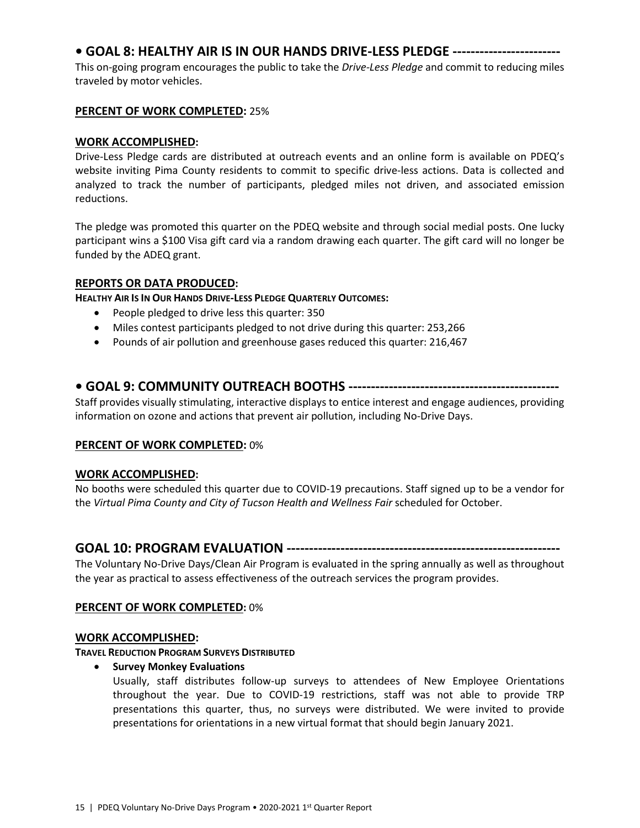# **• GOAL 8: HEALTHY AIR IS IN OUR HANDS DRIVE-LESS PLEDGE ------------------------**

This on-going program encourages the public to take the *Drive-Less Pledge* and commit to reducing miles traveled by motor vehicles.

# **PERCENT OF WORK COMPLETED:** 25%

# **WORK ACCOMPLISHED:**

Drive-Less Pledge cards are distributed at outreach events and an online form is available on PDEQ's website inviting Pima County residents to commit to specific drive-less actions. Data is collected and analyzed to track the number of participants, pledged miles not driven, and associated emission reductions.

The pledge was promoted this quarter on the PDEQ website and through social medial posts. One lucky participant wins a \$100 Visa gift card via a random drawing each quarter. The gift card will no longer be funded by the ADEQ grant.

## **REPORTS OR DATA PRODUCED:**

**HEALTHY AIR IS IN OUR HANDS DRIVE-LESS PLEDGE QUARTERLY OUTCOMES:**

- People pledged to drive less this quarter: 350
- Miles contest participants pledged to not drive during this quarter: 253,266
- Pounds of air pollution and greenhouse gases reduced this quarter: 216,467

# **• GOAL 9: COMMUNITY OUTREACH BOOTHS -----------------------------------------------**

Staff provides visually stimulating, interactive displays to entice interest and engage audiences, providing information on ozone and actions that prevent air pollution, including No-Drive Days.

## **PERCENT OF WORK COMPLETED:** 0%

## **WORK ACCOMPLISHED:**

No booths were scheduled this quarter due to COVID-19 precautions. Staff signed up to be a vendor for the *Virtual Pima County and City of Tucson Health and Wellness Fair* scheduled for October.

# **GOAL 10: PROGRAM EVALUATION -------------------------------------------------------------**

The Voluntary No-Drive Days/Clean Air Program is evaluated in the spring annually as well as throughout the year as practical to assess effectiveness of the outreach services the program provides.

## **PERCENT OF WORK COMPLETED:** 0%

## **WORK ACCOMPLISHED:**

## **TRAVEL REDUCTION PROGRAM SURVEYS DISTRIBUTED**

• **Survey Monkey Evaluations**

Usually, staff distributes follow-up surveys to attendees of New Employee Orientations throughout the year. Due to COVID-19 restrictions, staff was not able to provide TRP presentations this quarter, thus, no surveys were distributed. We were invited to provide presentations for orientations in a new virtual format that should begin January 2021.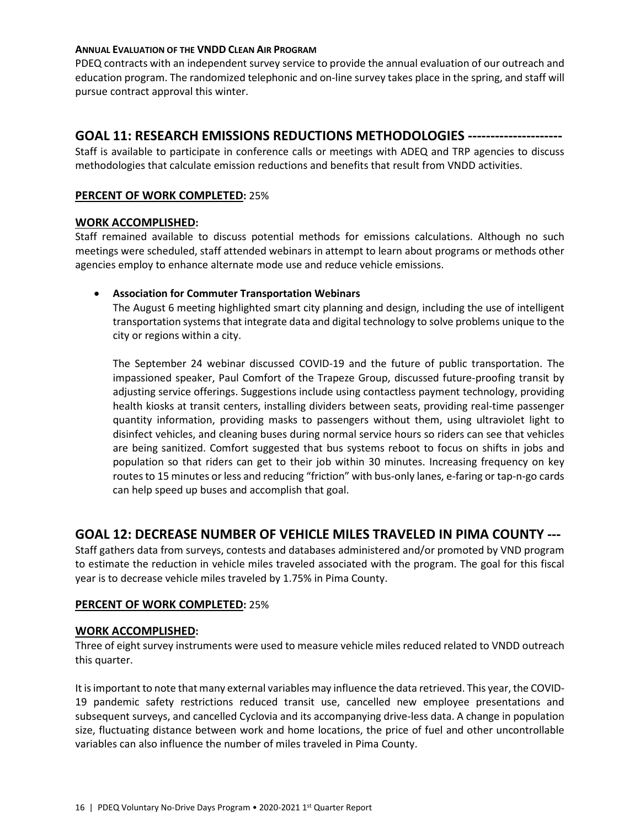#### **ANNUAL EVALUATION OF THE VNDD CLEAN AIR PROGRAM**

PDEQ contracts with an independent survey service to provide the annual evaluation of our outreach and education program. The randomized telephonic and on-line survey takes place in the spring, and staff will pursue contract approval this winter.

# **GOAL 11: RESEARCH EMISSIONS REDUCTIONS METHODOLOGIES ---------------------**

Staff is available to participate in conference calls or meetings with ADEQ and TRP agencies to discuss methodologies that calculate emission reductions and benefits that result from VNDD activities.

## **PERCENT OF WORK COMPLETED:** 25%

#### **WORK ACCOMPLISHED:**

Staff remained available to discuss potential methods for emissions calculations. Although no such meetings were scheduled, staff attended webinars in attempt to learn about programs or methods other agencies employ to enhance alternate mode use and reduce vehicle emissions.

## • **Association for Commuter Transportation Webinars**

The August 6 meeting highlighted smart city planning and design, including the use of intelligent transportation systems that integrate data and digital technology to solve problems unique to the city or regions within a city.

The September 24 webinar discussed COVID-19 and the future of public transportation. The impassioned speaker, Paul Comfort of the Trapeze Group, discussed future-proofing transit by adjusting service offerings. Suggestions include using contactless payment technology, providing health kiosks at transit centers, installing dividers between seats, providing real-time passenger quantity information, providing masks to passengers without them, using ultraviolet light to disinfect vehicles, and cleaning buses during normal service hours so riders can see that vehicles are being sanitized. Comfort suggested that bus systems reboot to focus on shifts in jobs and population so that riders can get to their job within 30 minutes. Increasing frequency on key routes to 15 minutes or less and reducing "friction" with bus-only lanes, e-faring or tap-n-go cards can help speed up buses and accomplish that goal.

# **GOAL 12: DECREASE NUMBER OF VEHICLE MILES TRAVELED IN PIMA COUNTY ---**

Staff gathers data from surveys, contests and databases administered and/or promoted by VND program to estimate the reduction in vehicle miles traveled associated with the program. The goal for this fiscal year is to decrease vehicle miles traveled by 1.75% in Pima County.

## **PERCENT OF WORK COMPLETED:** 25%

#### **WORK ACCOMPLISHED:**

Three of eight survey instruments were used to measure vehicle miles reduced related to VNDD outreach this quarter.

It is important to note that many external variables may influence the data retrieved. This year, the COVID-19 pandemic safety restrictions reduced transit use, cancelled new employee presentations and subsequent surveys, and cancelled Cyclovia and its accompanying drive-less data. A change in population size, fluctuating distance between work and home locations, the price of fuel and other uncontrollable variables can also influence the number of miles traveled in Pima County.